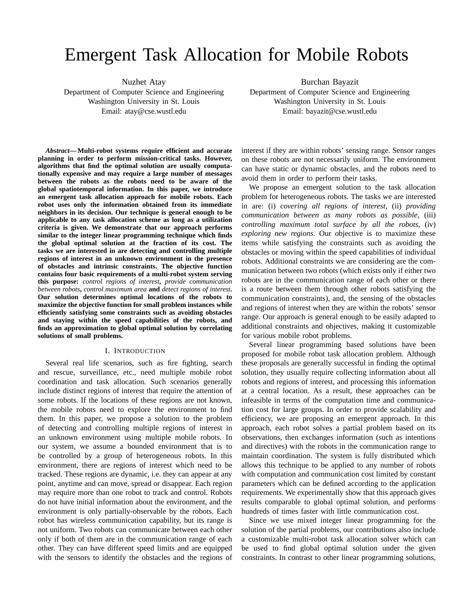# Emergent Task Allocation for Mobile Robots

Nuzhet Atay

Department of Computer Science and Engineering Washington University in St. Louis Email: atay@cse.wustl.edu

Burchan Bayazit Department of Computer Science and Engineering Washington University in St. Louis Email: bayazit@cse.wustl.edu

*Abstract***— Multi-robot systems require efficient and accurate planning in order to perform mission-critical tasks. However, algorithms that find the optimal solution are usually computationally expensive and may require a large number of messages between the robots as the robots need to be aware of the global spatiotemporal information. In this paper, we introduce an emergent task allocation approach for mobile robots. Each robot uses only the information obtained from its immediate neighbors in its decision. Our technique is general enough to be applicable to any task allocation scheme as long as a utilization criteria is given. We demonstrate that our approach performs similar to the integer linear programming technique which finds the global optimal solution at the fraction of its cost. The tasks we are interested in are detecting and controlling multiple regions of interest in an unknown environment in the presence of obstacles and intrinsic constraints. The objective function contains four basic requirements of a multi-robot system serving this purpose:** *control regions of interest***,** *provide communication between robots***,** *control maximum area* **and** *detect regions of interest***. Our solution determines optimal locations of the robots to maximize the objective function for small problem instances while efficiently satisfying some constraints such as avoiding obstacles and staying within the speed capabilities of the robots, and finds an approximation to global optimal solution by correlating solutions of small problems.**

#### I. INTRODUCTION

Several real life scenarios, such as fire fighting, search and rescue, surveillance, etc., need multiple mobile robot coordination and task allocation. Such scenarios generally include distinct regions of interest that require the attention of some robots. If the locations of these regions are not known, the mobile robots need to explore the environment to find them. In this paper, we propose a solution to the problem of detecting and controlling multiple regions of interest in an unknown environment using multiple mobile robots. In our system, we assume a bounded environment that is to be controlled by a group of heterogeneous robots. In this environment, there are regions of interest which need to be tracked. These regions are dynamic, i.e. they can appear at any point, anytime and can move, spread or disappear. Each region may require more than one robot to track and control. Robots do not have initial information about the environment, and the environment is only partially-observable by the robots. Each robot has wireless communication capability, but its range is not uniform. Two robots can communicate between each other only if both of them are in the communication range of each other. They can have different speed limits and are equipped with the sensors to identify the obstacles and the regions of interest if they are within robots' sensing range. Sensor ranges on these robots are not necessarily uniform. The environment can have static or dynamic obstacles, and the robots need to avoid them in order to perform their tasks.

We propose an emergent solution to the task allocation problem for heterogeneous robots. The tasks we are interested in are: (i) *covering all regions of interest*, (ii) *providing communication between as many robots as possible*, (iii) *controlling maximum total surface by all the robots*, (iv) *exploring new regions*. Our objective is to maximize these items while satisfying the constraints such as avoiding the obstacles or moving within the speed capabilities of individual robots. Additional constraints we are considering are the communication between two robots (which exists only if either two robots are in the communication range of each other or there is a route between them through other robots satisfying the communication constraints), and, the sensing of the obstacles and regions of interest when they are within the robots' sensor range. Our approach is general enough to be easily adapted to additional constraints and objectives, making it customizable for various mobile robot problems.

Several linear programming based solutions have been proposed for mobile robot task allocation problem. Although these proposals are generally successful in finding the optimal solution, they usually require collecting information about all robots and regions of interest, and processing this information at a central location. As a result, these approaches can be infeasible in terms of the computation time and communication cost for large groups. In order to provide scalability and efficiency, we are proposing an emergent approach. In this approach, each robot solves a partial problem based on its observations, then exchanges information (such as intentions and directives) with the robots in the communication range to maintain coordination. The system is fully distributed which allows this technique to be applied to any number of robots with computation and communication cost limited by constant parameters which can be defined according to the application requirements. We experimentally show that this approach gives results comparable to global optimal solution, and performs hundreds of times faster with little communication cost.

Since we use mixed integer linear programming for the solution of the partial problems, our contributions also include a customizable multi-robot task allocation solver which can be used to find global optimal solution under the given constraints. In contrast to other linear programming solutions,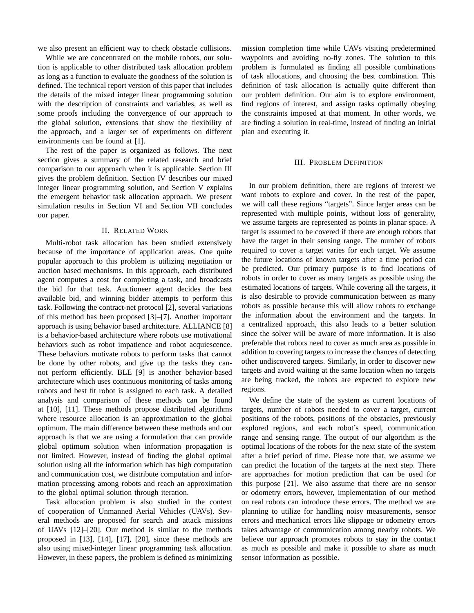we also present an efficient way to check obstacle collisions.

While we are concentrated on the mobile robots, our solution is applicable to other distributed task allocation problem as long as a function to evaluate the goodness of the solution is defined. The technical report version of this paper that includes the details of the mixed integer linear programming solution with the description of constraints and variables, as well as some proofs including the convergence of our approach to the global solution, extensions that show the flexibility of the approach, and a larger set of experiments on different environments can be found at [1].

The rest of the paper is organized as follows. The next section gives a summary of the related research and brief comparison to our approach when it is applicable. Section III gives the problem definition. Section IV describes our mixed integer linear programming solution, and Section V explains the emergent behavior task allocation approach. We present simulation results in Section VI and Section VII concludes our paper.

#### II. RELATED WORK

Multi-robot task allocation has been studied extensively because of the importance of application areas. One quite popular approach to this problem is utilizing negotiation or auction based mechanisms. In this approach, each distributed agent computes a cost for completing a task, and broadcasts the bid for that task. Auctioneer agent decides the best available bid, and winning bidder attempts to perform this task. Following the contract-net protocol [2], several variations of this method has been proposed [3]–[7]. Another important approach is using behavior based architecture. ALLIANCE [8] is a behavior-based architecture where robots use motivational behaviors such as robot impatience and robot acquiescence. These behaviors motivate robots to perform tasks that cannot be done by other robots, and give up the tasks they cannot perform efficiently. BLE [9] is another behavior-based architecture which uses continuous monitoring of tasks among robots and best fit robot is assigned to each task. A detailed analysis and comparison of these methods can be found at [10], [11]. These methods propose distributed algorithms where resource allocation is an approximation to the global optimum. The main difference between these methods and our approach is that we are using a formulation that can provide global optimum solution when information propagation is not limited. However, instead of finding the global optimal solution using all the information which has high computation and communication cost, we distribute computation and information processing among robots and reach an approximation to the global optimal solution through iteration.

Task allocation problem is also studied in the context of cooperation of Unmanned Aerial Vehicles (UAVs). Several methods are proposed for search and attack missions of UAVs [12]–[20]. Our method is similar to the methods proposed in [13], [14], [17], [20], since these methods are also using mixed-integer linear programming task allocation. However, in these papers, the problem is defined as minimizing mission completion time while UAVs visiting predetermined waypoints and avoiding no-fly zones. The solution to this problem is formulated as finding all possible combinations of task allocations, and choosing the best combination. This definition of task allocation is actually quite different than our problem definition. Our aim is to explore environment, find regions of interest, and assign tasks optimally obeying the constraints imposed at that moment. In other words, we are finding a solution in real-time, instead of finding an initial plan and executing it.

## III. PROBLEM DEFINITION

In our problem definition, there are regions of interest we want robots to explore and cover. In the rest of the paper, we will call these regions "targets". Since larger areas can be represented with multiple points, without loss of generality, we assume targets are represented as points in planar space. A target is assumed to be covered if there are enough robots that have the target in their sensing range. The number of robots required to cover a target varies for each target. We assume the future locations of known targets after a time period can be predicted. Our primary purpose is to find locations of robots in order to cover as many targets as possible using the estimated locations of targets. While covering all the targets, it is also desirable to provide communication between as many robots as possible because this will allow robots to exchange the information about the environment and the targets. In a centralized approach, this also leads to a better solution since the solver will be aware of more information. It is also preferable that robots need to cover as much area as possible in addition to covering targets to increase the chances of detecting other undiscovered targets. Similarly, in order to discover new targets and avoid waiting at the same location when no targets are being tracked, the robots are expected to explore new regions.

We define the state of the system as current locations of targets, number of robots needed to cover a target, current positions of the robots, positions of the obstacles, previously explored regions, and each robot's speed, communication range and sensing range. The output of our algorithm is the optimal locations of the robots for the next state of the system after a brief period of time. Please note that, we assume we can predict the location of the targets at the next step. There are approaches for motion prediction that can be used for this purpose [21]. We also assume that there are no sensor or odometry errors, however, implementation of our method on real robots can introduce these errors. The method we are planning to utilize for handling noisy measurements, sensor errors and mechanical errors like slippage or odometry errors takes advantage of communication among nearby robots. We believe our approach promotes robots to stay in the contact as much as possible and make it possible to share as much sensor information as possible.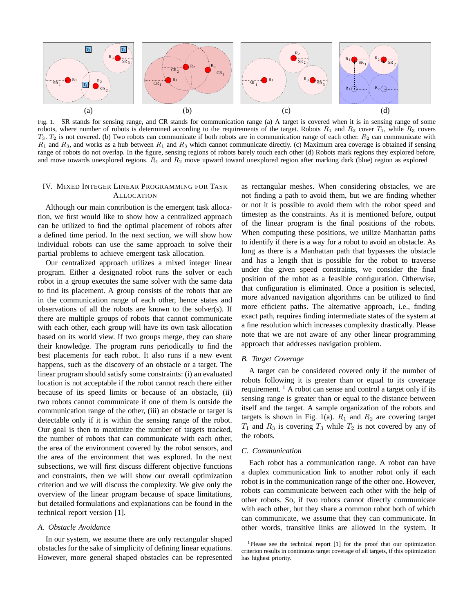

Fig. 1. SR stands for sensing range, and CR stands for communication range (a) A target is covered when it is in sensing range of some robots, where number of robots is determined according to the requirements of the target. Robots  $R_1$  and  $R_2$  cover  $T_1$ , while  $R_3$  covers  $T_3$ .  $T_2$  is not covered. (b) Two robots can communicate if both robots are in communication range of each other.  $R_2$  can communicate with  $R_1$  and  $R_3$ , and works as a hub between  $R_1$  and  $R_3$  which cannot communicate directly. (c) Maximum area coverage is obtained if sensing range of robots do not overlap. In the figure, sensing regions of robots barely touch each other (d) Robots mark regions they explored before, and move towards unexplored regions.  $R_1$  and  $R_2$  move upward toward unexplored region after marking dark (blue) region as explored

# IV. MIXED INTEGER LINEAR PROGRAMMING FOR TASK ALLOCATION

Although our main contribution is the emergent task allocation, we first would like to show how a centralized approach can be utilized to find the optimal placement of robots after a defined time period. In the next section, we will show how individual robots can use the same approach to solve their partial problems to achieve emergent task allocation.

Our centralized approach utilizes a mixed integer linear program. Either a designated robot runs the solver or each robot in a group executes the same solver with the same data to find its placement. A group consists of the robots that are in the communication range of each other, hence states and observations of all the robots are known to the solver(s). If there are multiple groups of robots that cannot communicate with each other, each group will have its own task allocation based on its world view. If two groups merge, they can share their knowledge. The program runs periodically to find the best placements for each robot. It also runs if a new event happens, such as the discovery of an obstacle or a target. The linear program should satisfy some constraints: (i) an evaluated location is not acceptable if the robot cannot reach there either because of its speed limits or because of an obstacle, (ii) two robots cannot communicate if one of them is outside the communication range of the other, (iii) an obstacle or target is detectable only if it is within the sensing range of the robot. Our goal is then to maximize the number of targets tracked, the number of robots that can communicate with each other, the area of the environment covered by the robot sensors, and the area of the environment that was explored. In the next subsections, we will first discuss different objective functions and constraints, then we will show our overall optimization criterion and we will discuss the complexity. We give only the overview of the linear program because of space limitations, but detailed formulations and explanations can be found in the technical report version [1].

## *A. Obstacle Avoidance*

In our system, we assume there are only rectangular shaped obstacles for the sake of simplicity of defining linear equations. However, more general shaped obstacles can be represented

as rectangular meshes. When considering obstacles, we are not finding a path to avoid them, but we are finding whether or not it is possible to avoid them with the robot speed and timestep as the constraints. As it is mentioned before, output of the linear program is the final positions of the robots. When computing these positions, we utilize Manhattan paths to identify if there is a way for a robot to avoid an obstacle. As long as there is a Manhattan path that bypasses the obstacle and has a length that is possible for the robot to traverse under the given speed constraints, we consider the final position of the robot as a feasible configuration. Otherwise, that configuration is eliminated. Once a position is selected, more advanced navigation algorithms can be utilized to find more efficient paths. The alternative approach, i.e., finding exact path, requires finding intermediate states of the system at a fine resolution which increases complexity drastically. Please note that we are not aware of any other linear programming approach that addresses navigation problem.

## *B. Target Coverage*

A target can be considered covered only if the number of robots following it is greater than or equal to its coverage requirement.  $\frac{1}{1}$  A robot can sense and control a target only if its sensing range is greater than or equal to the distance between itself and the target. A sample organization of the robots and targets is shown in Fig. 1(a).  $R_1$  and  $R_2$  are covering target  $T_1$  and  $R_3$  is covering  $T_3$  while  $T_2$  is not covered by any of the robots.

#### *C. Communication*

Each robot has a communication range. A robot can have a duplex communication link to another robot only if each robot is in the communication range of the other one. However, robots can communicate between each other with the help of other robots. So, if two robots cannot directly communicate with each other, but they share a common robot both of which can communicate, we assume that they can communicate. In other words, transitive links are allowed in the system. It

<sup>&</sup>lt;sup>1</sup>Please see the technical report [1] for the proof that our optimization criterion results in continuous target coverage of all targets, if this optimization has highest priority.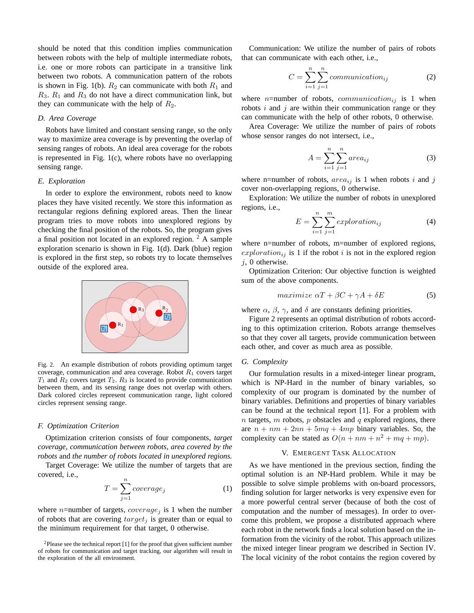should be noted that this condition implies communication between robots with the help of multiple intermediate robots, i.e. one or more robots can participate in a transitive link between two robots. A communication pattern of the robots is shown in Fig. 1(b).  $R_2$  can communicate with both  $R_1$  and  $R_3$ .  $R_1$  and  $R_3$  do not have a direct communication link, but they can communicate with the help of  $R_2$ .

## *D. Area Coverage*

Robots have limited and constant sensing range, so the only way to maximize area coverage is by preventing the overlap of sensing ranges of robots. An ideal area coverage for the robots is represented in Fig. 1(c), where robots have no overlapping sensing range.

#### *E. Exploration*

In order to explore the environment, robots need to know places they have visited recently. We store this information as rectangular regions defining explored areas. Then the linear program tries to move robots into unexplored regions by checking the final position of the robots. So, the program gives a final position not located in an explored region.  $2 \text{ A sample}$ exploration scenario is shown in Fig. 1(d). Dark (blue) region is explored in the first step, so robots try to locate themselves outside of the explored area.



Fig. 2. An example distribution of robots providing optimum target coverage, communication and area coverage. Robot  $R_1$  covers target  $T_1$  and  $R_2$  covers target  $T_2$ .  $R_3$  is located to provide communication between them, and its sensing range does not overlap with others. Dark colored circles represent communication range, light colored circles represent sensing range.

#### *F. Optimization Criterion*

Optimization criterion consists of four components, *target coverage*, *communication between robots*, *area covered by the robots* and *the number of robots located in unexplored regions.*

Target Coverage: We utilize the number of targets that are covered, i.e.,

$$
T = \sum_{j=1}^{n} coverage_j \tag{1}
$$

where *n*=number of targets, *coverage<sub>i</sub>* is 1 when the number of robots that are covering  $target_j$  is greater than or equal to the minimum requirement for that target, 0 otherwise.

Communication: We utilize the number of pairs of robots that can communicate with each other, i.e.,

$$
C = \sum_{i=1}^{n} \sum_{j=1}^{n} communication_{ij}
$$
 (2)

where *n*=number of robots, *communication*<sub>ij</sub> is 1 when robots  $i$  and  $j$  are within their communication range or they can communicate with the help of other robots, 0 otherwise.

Area Coverage: We utilize the number of pairs of robots whose sensor ranges do not intersect, i.e.,

$$
A = \sum_{i=1}^{n} \sum_{j=1}^{n} area_{ij}
$$
 (3)

where n=number of robots,  $area_{ij}$  is 1 when robots i and j cover non-overlapping regions, 0 otherwise.

Exploration: We utilize the number of robots in unexplored regions, i.e.,

$$
E = \sum_{i=1}^{n} \sum_{j=1}^{m} \expioration_{ij}
$$
 (4)

where n=number of robots, m=number of explored regions,  $exploration_{ij}$  is 1 if the robot i is not in the explored region  $j$ , 0 otherwise.

Optimization Criterion: Our objective function is weighted sum of the above components.

$$
maximize \ \alpha T + \beta C + \gamma A + \delta E \tag{5}
$$

where  $\alpha$ ,  $\beta$ ,  $\gamma$ , and  $\delta$  are constants defining priorities.

Figure 2 represents an optimal distribution of robots according to this optimization criterion. Robots arrange themselves so that they cover all targets, provide communication between each other, and cover as much area as possible.

## *G. Complexity*

Our formulation results in a mixed-integer linear program, which is NP-Hard in the number of binary variables, so complexity of our program is dominated by the number of binary variables. Definitions and properties of binary variables can be found at the technical report [1]. For a problem with  $n$  targets,  $m$  robots,  $p$  obstacles and  $q$  explored regions, there are  $n + nm + 2nn + 5mq + 4mp$  binary variables. So, the complexity can be stated as  $O(n + nm + n^2 + mq + mp)$ .

## V. EMERGENT TASK ALLOCATION

As we have mentioned in the previous section, finding the optimal solution is an NP-Hard problem. While it may be possible to solve simple problems with on-board processors, finding solution for larger networks is very expensive even for a more powerful central server (because of both the cost of computation and the number of messages). In order to overcome this problem, we propose a distributed approach where each robot in the network finds a local solution based on the information from the vicinity of the robot. This approach utilizes the mixed integer linear program we described in Section IV. The local vicinity of the robot contains the region covered by

 $2P$ lease see the technical report [1] for the proof that given sufficient number of robots for communication and target tracking, our algorithm will result in the exploration of the all environment.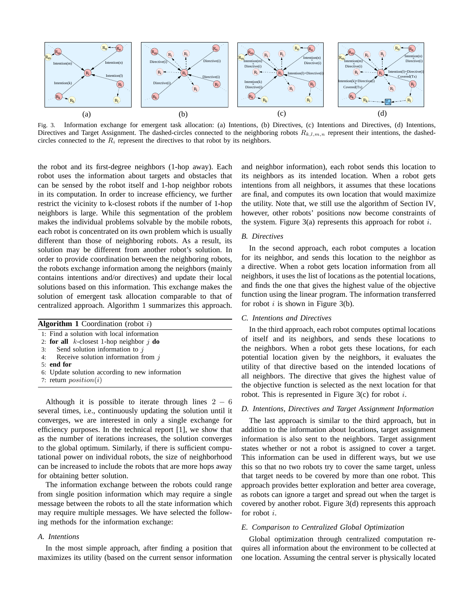

Fig. 3. Information exchange for emergent task allocation: (a) Intentions, (b) Directives, (c) Intentions and Directives, (d) Intentions, Directives and Target Assignment. The dashed-circles connected to the neighboring robots  $R_{k,l,m,n}$  represent their intentions, the dashedcircles connected to the  $R_i$  represent the directives to that robot by its neighbors.

the robot and its first-degree neighbors (1-hop away). Each robot uses the information about targets and obstacles that can be sensed by the robot itself and 1-hop neighbor robots in its computation. In order to increase efficiency, we further restrict the vicinity to k-closest robots if the number of 1-hop neighbors is large. While this segmentation of the problem makes the individual problems solvable by the mobile robots, each robot is concentrated on its own problem which is usually different than those of neighboring robots. As a result, its solution may be different from another robot's solution. In order to provide coordination between the neighboring robots, the robots exchange information among the neighbors (mainly contains intentions and/or directives) and update their local solutions based on this information. This exchange makes the solution of emergent task allocation comparable to that of centralized approach. Algorithm 1 summarizes this approach.

| <b>Algorithm 1</b> Coordination (robot i)       |  |
|-------------------------------------------------|--|
| 1: Find a solution with local information       |  |
| 2: for all k-closest 1-hop neighbor $i$ do      |  |
| 3: Send solution information to $i$             |  |
| 4: Receive solution information from $i$        |  |
| $5:$ end for                                    |  |
| 6: Update solution according to new information |  |
| 7: return $position(i)$                         |  |

Although it is possible to iterate through lines  $2 - 6$ several times, i.e., continuously updating the solution until it converges, we are interested in only a single exchange for efficiency purposes. In the technical report [1], we show that as the number of iterations increases, the solution converges to the global optimum. Similarly, if there is sufficient computational power on individual robots, the size of neighborhood can be increased to include the robots that are more hops away for obtaining better solution.

The information exchange between the robots could range from single position information which may require a single message between the robots to all the state information which may require multiple messages. We have selected the following methods for the information exchange:

#### *A. Intentions*

In the most simple approach, after finding a position that maximizes its utility (based on the current sensor information and neighbor information), each robot sends this location to its neighbors as its intended location. When a robot gets intentions from all neighbors, it assumes that these locations are final, and computes its own location that would maximize the utility. Note that, we still use the algorithm of Section IV, however, other robots' positions now become constraints of the system. Figure  $3(a)$  represents this approach for robot i.

## *B. Directives*

In the second approach, each robot computes a location for its neighbor, and sends this location to the neighbor as a directive. When a robot gets location information from all neighbors, it uses the list of locations as the potential locations, and finds the one that gives the highest value of the objective function using the linear program. The information transferred for robot i is shown in Figure  $3(b)$ .

## *C. Intentions and Directives*

In the third approach, each robot computes optimal locations of itself and its neighbors, and sends these locations to the neighbors. When a robot gets these locations, for each potential location given by the neighbors, it evaluates the utility of that directive based on the intended locations of all neighbors. The directive that gives the highest value of the objective function is selected as the next location for that robot. This is represented in Figure  $3(c)$  for robot i.

## *D. Intentions, Directives and Target Assignment Information*

The last approach is similar to the third approach, but in addition to the information about locations, target assignment information is also sent to the neighbors. Target assignment states whether or not a robot is assigned to cover a target. This information can be used in different ways, but we use this so that no two robots try to cover the same target, unless that target needs to be covered by more than one robot. This approach provides better exploration and better area coverage, as robots can ignore a target and spread out when the target is covered by another robot. Figure 3(d) represents this approach for robot i.

## *E. Comparison to Centralized Global Optimization*

Global optimization through centralized computation requires all information about the environment to be collected at one location. Assuming the central server is physically located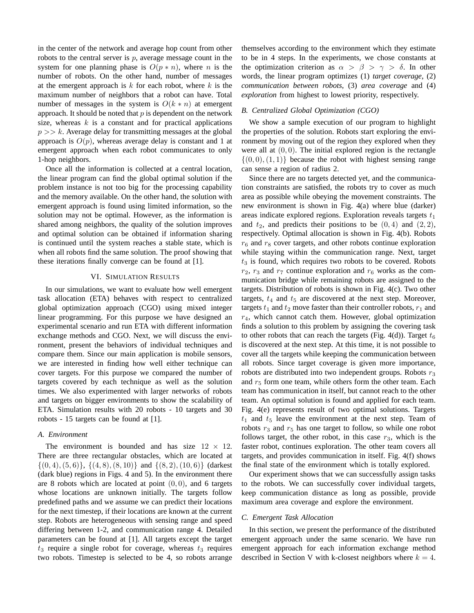in the center of the network and average hop count from other robots to the central server is  $p$ , average message count in the system for one planning phase is  $O(p * n)$ , where *n* is the number of robots. On the other hand, number of messages at the emergent approach is  $k$  for each robot, where  $k$  is the maximum number of neighbors that a robot can have. Total number of messages in the system is  $O(k*n)$  at emergent approach. It should be noted that  $p$  is dependent on the network size, whereas  $k$  is a constant and for practical applications  $p \gg k$ . Average delay for transmitting messages at the global approach is  $O(p)$ , whereas average delay is constant and 1 at emergent approach when each robot communicates to only 1-hop neighbors.

Once all the information is collected at a central location, the linear program can find the global optimal solution if the problem instance is not too big for the processing capability and the memory available. On the other hand, the solution with emergent approach is found using limited information, so the solution may not be optimal. However, as the information is shared among neighbors, the quality of the solution improves and optimal solution can be obtained if information sharing is continued until the system reaches a stable state, which is when all robots find the same solution. The proof showing that these iterations finally converge can be found at [1].

## VI. SIMULATION RESULTS

In our simulations, we want to evaluate how well emergent task allocation (ETA) behaves with respect to centralized global optimization approach (CGO) using mixed integer linear programming. For this purpose we have designed an experimental scenario and run ETA with different information exchange methods and CGO. Next, we will discuss the environment, present the behaviors of individual techniques and compare them. Since our main application is mobile sensors, we are interested in finding how well either technique can cover targets. For this purpose we compared the number of targets covered by each technique as well as the solution times. We also experimented with larger networks of robots and targets on bigger environments to show the scalability of ETA. Simulation results with 20 robots - 10 targets and 30 robots - 15 targets can be found at [1].

## *A. Environment*

The environment is bounded and has size  $12 \times 12$ . There are three rectangular obstacles, which are located at  $\{(0, 4), (5, 6)\}, \{(4, 8), (8, 10)\}\$ and  $\{(8, 2), (10, 6)\}\$  (darkest (dark blue) regions in Figs. 4 and 5). In the environment there are 8 robots which are located at point  $(0, 0)$ , and 6 targets whose locations are unknown initially. The targets follow predefined paths and we assume we can predict their locations for the next timestep, if their locations are known at the current step. Robots are heterogeneous with sensing range and speed differing between 1-2, and communication range 4. Detailed parameters can be found at [1]. All targets except the target  $t_3$  require a single robot for coverage, whereas  $t_3$  requires two robots. Timestep is selected to be 4, so robots arrange themselves according to the environment which they estimate to be in 4 steps. In the experiments, we chose constants at the optimization criterion as  $\alpha > \beta > \gamma > \delta$ . In other words, the linear program optimizes (1) *target coverage*, (2) *communication between robots*, (3) *area coverage* and (4) *exploration* from highest to lowest priority, respectively.

## *B. Centralized Global Optimization (CGO)*

We show a sample execution of our program to highlight the properties of the solution. Robots start exploring the environment by moving out of the region they explored when they were all at  $(0, 0)$ . The initial explored region is the rectangle  $\{(0,0), (1, 1)\}\)$  because the robot with highest sensing range can sense a region of radius 2.

Since there are no targets detected yet, and the communication constraints are satisfied, the robots try to cover as much area as possible while obeying the movement constraints. The new environment is shown in Fig. 4(a) where blue (darker) areas indicate explored regions. Exploration reveals targets  $t_1$ and  $t_2$ , and predicts their positions to be  $(0, 4)$  and  $(2, 2)$ , respectively. Optimal allocation is shown in Fig. 4(b). Robots  $r<sub>6</sub>$  and  $r<sub>8</sub>$  cover targets, and other robots continue exploration while staying within the communication range. Next, target  $t_3$  is found, which requires two robots to be covered. Robots  $r_2$ ,  $r_3$  and  $r_7$  continue exploration and  $r_6$  works as the communication bridge while remaining robots are assigned to the targets. Distribution of robots is shown in Fig. 4(c). Two other targets,  $t_4$  and  $t_5$  are discovered at the next step. Moreover, targets  $t_1$  and  $t_2$  move faster than their controller robots,  $r_1$  and  $r<sub>4</sub>$ , which cannot catch them. However, global optimization finds a solution to this problem by assigning the covering task to other robots that can reach the targets (Fig. 4(d)). Target  $t_6$ is discovered at the next step. At this time, it is not possible to cover all the targets while keeping the communication between all robots. Since target coverage is given more importance, robots are distributed into two independent groups. Robots  $r_3$ and  $r<sub>5</sub>$  form one team, while others form the other team. Each team has communication in itself, but cannot reach to the other team. An optimal solution is found and applied for each team. Fig. 4(e) represents result of two optimal solutions. Targets  $t_1$  and  $t_5$  leave the environment at the next step. Team of robots  $r_3$  and  $r_5$  has one target to follow, so while one robot follows target, the other robot, in this case  $r_3$ , which is the faster robot, continues exploration. The other team covers all targets, and provides communication in itself. Fig. 4(f) shows the final state of the environment which is totally explored.

Our experiment shows that we can successfully assign tasks to the robots. We can successfully cover individual targets, keep communication distance as long as possible, provide maximum area coverage and explore the environment.

## *C. Emergent Task Allocation*

In this section, we present the performance of the distributed emergent approach under the same scenario. We have run emergent approach for each information exchange method described in Section V with k-closest neighbors where  $k = 4$ .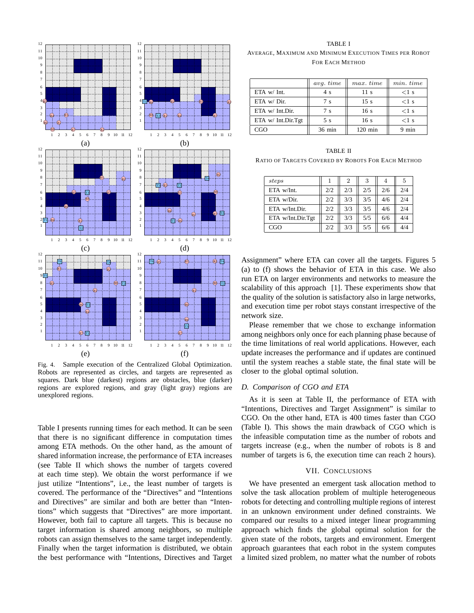

Fig. 4. Sample execution of the Centralized Global Optimization. Robots are represented as circles, and targets are represented as squares. Dark blue (darkest) regions are obstacles, blue (darker) regions are explored regions, and gray (light gray) regions are unexplored regions.

Table I presents running times for each method. It can be seen that there is no significant difference in computation times among ETA methods. On the other hand, as the amount of shared information increase, the performance of ETA increases (see Table II which shows the number of targets covered at each time step). We obtain the worst performance if we just utilize "Intentions", i.e., the least number of targets is covered. The performance of the "Directives" and "Intentions and Directives" are similar and both are better than "Intentions" which suggests that "Directives" are more important. However, both fail to capture all targets. This is because no target information is shared among neighbors, so multiple robots can assign themselves to the same target independently. Finally when the target information is distributed, we obtain the best performance with "Intentions, Directives and Target

TABLE I AVERAGE, MAXIMUM AND MINIMUM EXECUTION TIMES PER ROBOT FOR EACH METHOD

|                    | avg. time        | max. time       | min. time       |  |  |
|--------------------|------------------|-----------------|-----------------|--|--|
| $ETA$ w/ Int.      | 4 s              | 11 <sub>s</sub> | $<1$ s          |  |  |
| ETA w/Dir.         | 7 s              | 15 <sub>s</sub> | $<1$ s          |  |  |
| ETA w/ Int.Dir.    | 7 s              | 16 <sub>s</sub> | $<1$ s          |  |  |
| ETA w/ Int.Dir.Tgt | 5 s              | 16 <sub>s</sub> | $<1$ s          |  |  |
| CGO                | $36 \text{ min}$ | $120$ min       | $9 \text{ min}$ |  |  |

TABLE II RATIO OF TARGETS COVERED BY ROBOTS FOR EACH METHOD

| steps             |     | $\overline{2}$ | 3   |     | 5   |
|-------------------|-----|----------------|-----|-----|-----|
| $ETA$ w/Int.      | 2/2 | 2/3            | 2/5 | 2/6 | 2/4 |
| ETA w/Dir.        | 2/2 | 3/3            | 3/5 | 4/6 | 2/4 |
| ETA w/Int.Dir.    | 2/2 | 3/3            | 3/5 | 4/6 | 2/4 |
| ETA w/Int.Dir.Tgt | 2/2 | 3/3            | 5/5 | 6/6 | 4/4 |
| CGO               | 2/2 | 3/3            | 5/5 | 6/6 | 4/4 |

Assignment" where ETA can cover all the targets. Figures 5 (a) to (f) shows the behavior of ETA in this case. We also run ETA on larger environments and networks to measure the scalability of this approach [1]. These experiments show that the quality of the solution is satisfactory also in large networks, and execution time per robot stays constant irrespective of the network size.

Please remember that we chose to exchange information among neighbors only once for each planning phase because of the time limitations of real world applications. However, each update increases the performance and if updates are continued until the system reaches a stable state, the final state will be closer to the global optimal solution.

## *D. Comparison of CGO and ETA*

As it is seen at Table II, the performance of ETA with "Intentions, Directives and Target Assignment" is similar to CGO. On the other hand, ETA is 400 times faster than CGO (Table I). This shows the main drawback of CGO which is the infeasible computation time as the number of robots and targets increase (e.g., when the number of robots is 8 and number of targets is 6, the execution time can reach 2 hours).

## VII. CONCLUSIONS

We have presented an emergent task allocation method to solve the task allocation problem of multiple heterogeneous robots for detecting and controlling multiple regions of interest in an unknown environment under defined constraints. We compared our results to a mixed integer linear programming approach which finds the global optimal solution for the given state of the robots, targets and environment. Emergent approach guarantees that each robot in the system computes a limited sized problem, no matter what the number of robots